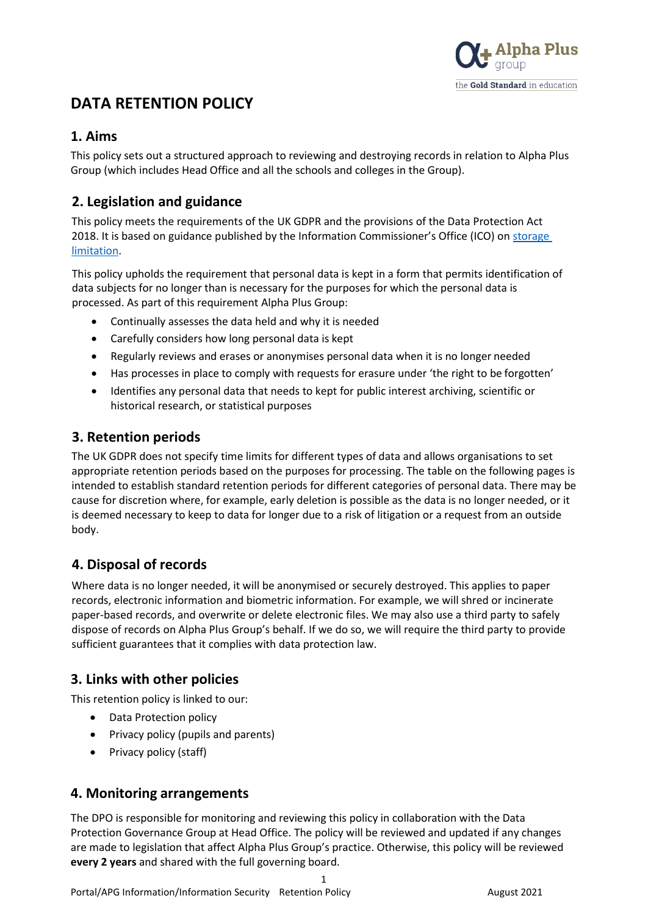

# **DATA RETENTION POLICY**

#### **1. Aims**

This policy sets out a structured approach to reviewing and destroying records in relation to Alpha Plus Group (which includes Head Office and all the schools and colleges in the Group).

## **2. Legislation and guidance**

This policy meets the requirements of the UK GDPR and the provisions of the Data Protection Act 2018. It is based on guidance published by the Information Commissioner's Office (ICO) on storage [limitation.](https://ico.org.uk/for-organisations/guide-to-the-general-data-protection-regulation-gdpr/principles/storage-limitation/)

This policy upholds the requirement that personal data is kept in a form that permits identification of data subjects for no longer than is necessary for the purposes for which the personal data is processed. As part of this requirement Alpha Plus Group:

- Continually assesses the data held and why it is needed
- Carefully considers how long personal data is kept
- Regularly reviews and erases or anonymises personal data when it is no longer needed
- Has processes in place to comply with requests for erasure under 'the right to be forgotten'
- Identifies any personal data that needs to kept for public interest archiving, scientific or historical research, or statistical purposes

### **3. Retention periods**

The UK GDPR does not specify time limits for different types of data and allows organisations to set appropriate retention periods based on the purposes for processing. The table on the following pages is intended to establish standard retention periods for different categories of personal data. There may be cause for discretion where, for example, early deletion is possible as the data is no longer needed, or it is deemed necessary to keep to data for longer due to a risk of litigation or a request from an outside body.

## **4. Disposal of records**

Where data is no longer needed, it will be anonymised or securely destroyed. This applies to paper records, electronic information and biometric information. For example, we will shred or incinerate paper-based records, and overwrite or delete electronic files. We may also use a third party to safely dispose of records on Alpha Plus Group's behalf. If we do so, we will require the third party to provide sufficient guarantees that it complies with data protection law.

### **3. Links with other policies**

This retention policy is linked to our:

- Data Protection policy
- Privacy policy (pupils and parents)
- Privacy policy (staff)

### **4. Monitoring arrangements**

The DPO is responsible for monitoring and reviewing this policy in collaboration with the Data Protection Governance Group at Head Office. The policy will be reviewed and updated if any changes are made to legislation that affect Alpha Plus Group's practice. Otherwise, this policy will be reviewed **every 2 years** and shared with the full governing board.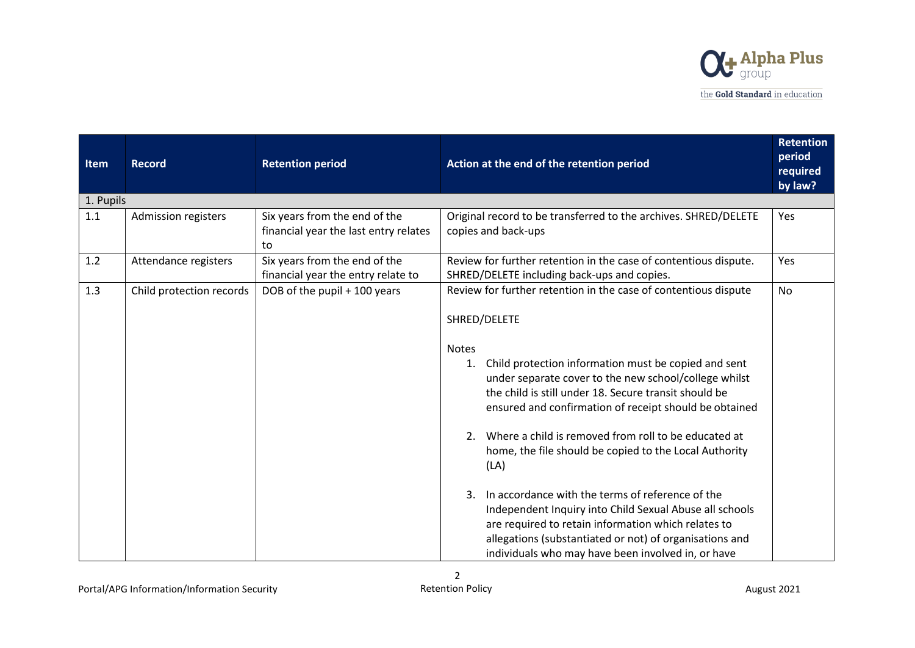

| Item      | <b>Record</b>            | <b>Retention period</b>                                                      | Action at the end of the retention period                                                                                                                                                                                                                                                                                                                                       | <b>Retention</b><br>period<br>required<br>by law? |
|-----------|--------------------------|------------------------------------------------------------------------------|---------------------------------------------------------------------------------------------------------------------------------------------------------------------------------------------------------------------------------------------------------------------------------------------------------------------------------------------------------------------------------|---------------------------------------------------|
| 1. Pupils |                          |                                                                              |                                                                                                                                                                                                                                                                                                                                                                                 |                                                   |
| 1.1       | Admission registers      | Six years from the end of the<br>financial year the last entry relates<br>to | Original record to be transferred to the archives. SHRED/DELETE<br>copies and back-ups                                                                                                                                                                                                                                                                                          | Yes                                               |
| 1.2       | Attendance registers     | Six years from the end of the<br>financial year the entry relate to          | Review for further retention in the case of contentious dispute.<br>SHRED/DELETE including back-ups and copies.                                                                                                                                                                                                                                                                 | Yes                                               |
| 1.3       | Child protection records | DOB of the pupil + 100 years                                                 | Review for further retention in the case of contentious dispute<br>SHRED/DELETE                                                                                                                                                                                                                                                                                                 | <b>No</b>                                         |
|           |                          |                                                                              | Notes<br>Child protection information must be copied and sent<br>1.<br>under separate cover to the new school/college whilst<br>the child is still under 18. Secure transit should be<br>ensured and confirmation of receipt should be obtained<br>Where a child is removed from roll to be educated at<br>2.<br>home, the file should be copied to the Local Authority<br>(LA) |                                                   |
|           |                          |                                                                              | In accordance with the terms of reference of the<br>3.<br>Independent Inquiry into Child Sexual Abuse all schools<br>are required to retain information which relates to<br>allegations (substantiated or not) of organisations and<br>individuals who may have been involved in, or have                                                                                       |                                                   |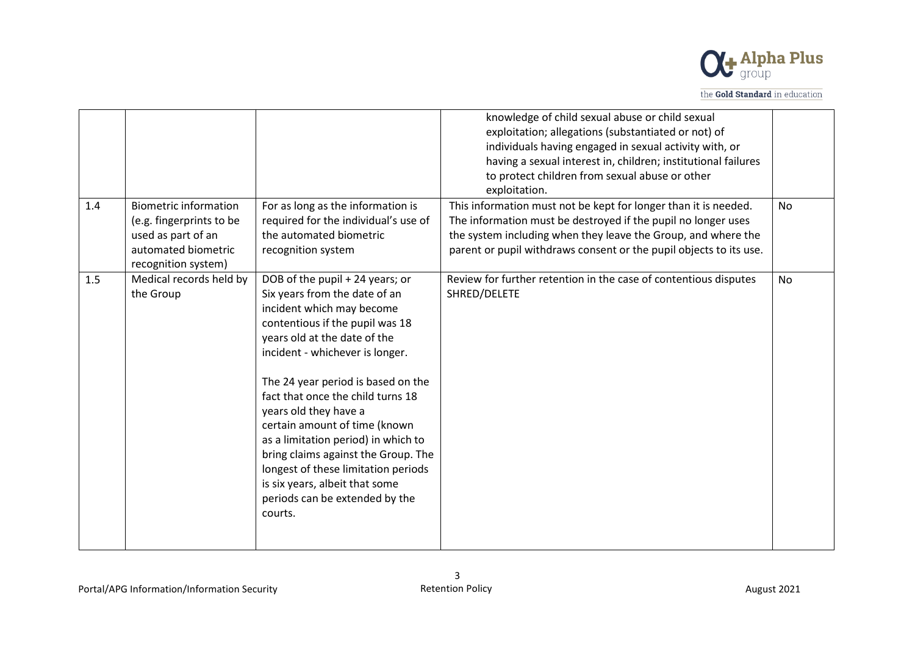

|     |                                                                                                                              |                                                                                                                                                                                                                                                                                                                                                                                                                                                                                                                                              | knowledge of child sexual abuse or child sexual<br>exploitation; allegations (substantiated or not) of<br>individuals having engaged in sexual activity with, or<br>having a sexual interest in, children; institutional failures<br>to protect children from sexual abuse or other<br>exploitation. |           |
|-----|------------------------------------------------------------------------------------------------------------------------------|----------------------------------------------------------------------------------------------------------------------------------------------------------------------------------------------------------------------------------------------------------------------------------------------------------------------------------------------------------------------------------------------------------------------------------------------------------------------------------------------------------------------------------------------|------------------------------------------------------------------------------------------------------------------------------------------------------------------------------------------------------------------------------------------------------------------------------------------------------|-----------|
| 1.4 | <b>Biometric information</b><br>(e.g. fingerprints to be<br>used as part of an<br>automated biometric<br>recognition system) | For as long as the information is<br>required for the individual's use of<br>the automated biometric<br>recognition system                                                                                                                                                                                                                                                                                                                                                                                                                   | This information must not be kept for longer than it is needed.<br>The information must be destroyed if the pupil no longer uses<br>the system including when they leave the Group, and where the<br>parent or pupil withdraws consent or the pupil objects to its use.                              | <b>No</b> |
| 1.5 | Medical records held by<br>the Group                                                                                         | DOB of the pupil + 24 years; or<br>Six years from the date of an<br>incident which may become<br>contentious if the pupil was 18<br>years old at the date of the<br>incident - whichever is longer.<br>The 24 year period is based on the<br>fact that once the child turns 18<br>years old they have a<br>certain amount of time (known<br>as a limitation period) in which to<br>bring claims against the Group. The<br>longest of these limitation periods<br>is six years, albeit that some<br>periods can be extended by the<br>courts. | Review for further retention in the case of contentious disputes<br>SHRED/DELETE                                                                                                                                                                                                                     | <b>No</b> |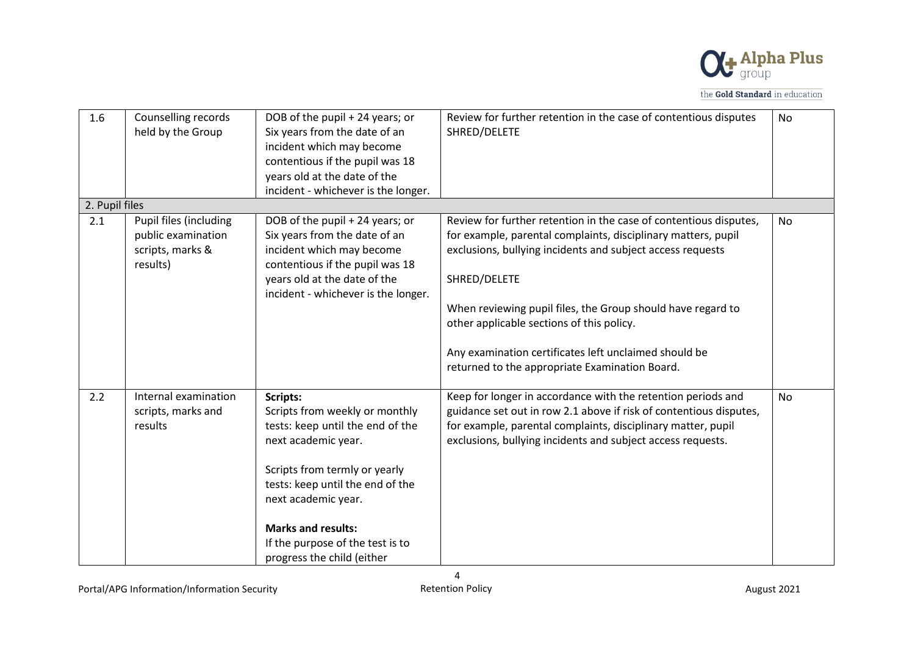

| 1.6            | Counselling records<br>held by the Group                                     | DOB of the pupil + 24 years; or<br>Six years from the date of an<br>incident which may become<br>contentious if the pupil was 18<br>years old at the date of the<br>incident - whichever is the longer.                                                                                          | Review for further retention in the case of contentious disputes<br>SHRED/DELETE                                                                                                                                                                                                                                                                                                                                                        | No        |
|----------------|------------------------------------------------------------------------------|--------------------------------------------------------------------------------------------------------------------------------------------------------------------------------------------------------------------------------------------------------------------------------------------------|-----------------------------------------------------------------------------------------------------------------------------------------------------------------------------------------------------------------------------------------------------------------------------------------------------------------------------------------------------------------------------------------------------------------------------------------|-----------|
| 2. Pupil files |                                                                              |                                                                                                                                                                                                                                                                                                  |                                                                                                                                                                                                                                                                                                                                                                                                                                         |           |
| 2.1            | Pupil files (including<br>public examination<br>scripts, marks &<br>results) | DOB of the pupil + 24 years; or<br>Six years from the date of an<br>incident which may become<br>contentious if the pupil was 18<br>years old at the date of the<br>incident - whichever is the longer.                                                                                          | Review for further retention in the case of contentious disputes,<br>for example, parental complaints, disciplinary matters, pupil<br>exclusions, bullying incidents and subject access requests<br>SHRED/DELETE<br>When reviewing pupil files, the Group should have regard to<br>other applicable sections of this policy.<br>Any examination certificates left unclaimed should be<br>returned to the appropriate Examination Board. | No        |
| 2.2            | Internal examination<br>scripts, marks and<br>results                        | Scripts:<br>Scripts from weekly or monthly<br>tests: keep until the end of the<br>next academic year.<br>Scripts from termly or yearly<br>tests: keep until the end of the<br>next academic year.<br><b>Marks and results:</b><br>If the purpose of the test is to<br>progress the child (either | Keep for longer in accordance with the retention periods and<br>guidance set out in row 2.1 above if risk of contentious disputes,<br>for example, parental complaints, disciplinary matter, pupil<br>exclusions, bullying incidents and subject access requests.                                                                                                                                                                       | <b>No</b> |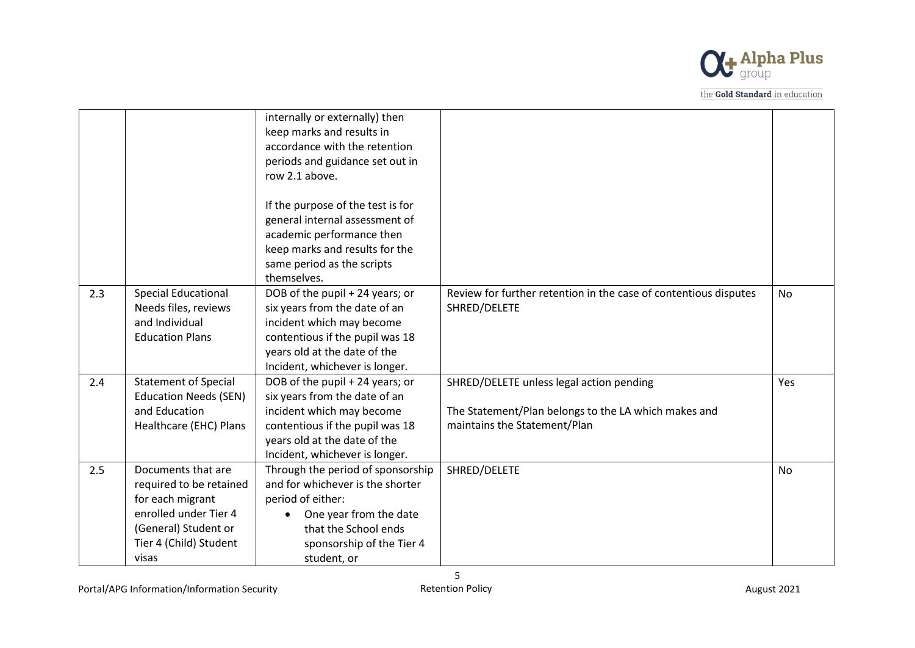

|     |                                                                                                                                                       | internally or externally) then<br>keep marks and results in<br>accordance with the retention<br>periods and guidance set out in<br>row 2.1 above.                                                  |                                                                                                                                  |           |
|-----|-------------------------------------------------------------------------------------------------------------------------------------------------------|----------------------------------------------------------------------------------------------------------------------------------------------------------------------------------------------------|----------------------------------------------------------------------------------------------------------------------------------|-----------|
|     |                                                                                                                                                       | If the purpose of the test is for<br>general internal assessment of<br>academic performance then<br>keep marks and results for the                                                                 |                                                                                                                                  |           |
|     |                                                                                                                                                       | same period as the scripts<br>themselves.                                                                                                                                                          |                                                                                                                                  |           |
| 2.3 | <b>Special Educational</b><br>Needs files, reviews<br>and Individual<br><b>Education Plans</b>                                                        | DOB of the pupil + 24 years; or<br>six years from the date of an<br>incident which may become<br>contentious if the pupil was 18<br>years old at the date of the<br>Incident, whichever is longer. | Review for further retention in the case of contentious disputes<br>SHRED/DELETE                                                 | <b>No</b> |
| 2.4 | <b>Statement of Special</b><br><b>Education Needs (SEN)</b><br>and Education<br>Healthcare (EHC) Plans                                                | DOB of the pupil + 24 years; or<br>six years from the date of an<br>incident which may become<br>contentious if the pupil was 18<br>years old at the date of the<br>Incident, whichever is longer. | SHRED/DELETE unless legal action pending<br>The Statement/Plan belongs to the LA which makes and<br>maintains the Statement/Plan | Yes       |
| 2.5 | Documents that are<br>required to be retained<br>for each migrant<br>enrolled under Tier 4<br>(General) Student or<br>Tier 4 (Child) Student<br>visas | Through the period of sponsorship<br>and for whichever is the shorter<br>period of either:<br>One year from the date<br>that the School ends<br>sponsorship of the Tier 4<br>student, or           | SHRED/DELETE                                                                                                                     | No        |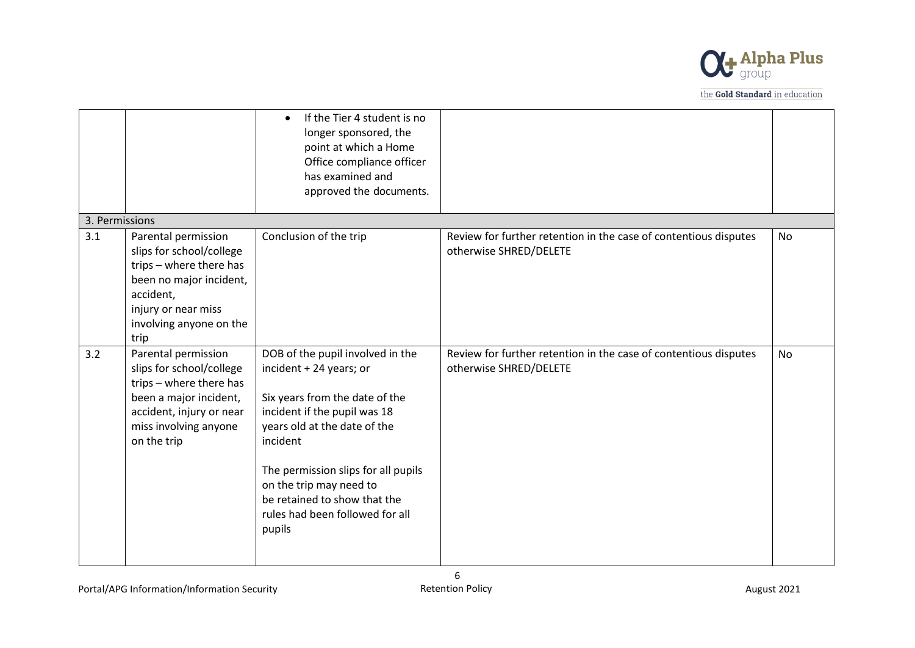

|                |                                                                                                                                                                              | If the Tier 4 student is no<br>$\bullet$<br>longer sponsored, the<br>point at which a Home<br>Office compliance officer<br>has examined and<br>approved the documents.                                                                                                                                                   |                                                                                            |           |
|----------------|------------------------------------------------------------------------------------------------------------------------------------------------------------------------------|--------------------------------------------------------------------------------------------------------------------------------------------------------------------------------------------------------------------------------------------------------------------------------------------------------------------------|--------------------------------------------------------------------------------------------|-----------|
| 3. Permissions |                                                                                                                                                                              |                                                                                                                                                                                                                                                                                                                          |                                                                                            |           |
| 3.1            | Parental permission<br>slips for school/college<br>trips - where there has<br>been no major incident,<br>accident,<br>injury or near miss<br>involving anyone on the<br>trip | Conclusion of the trip                                                                                                                                                                                                                                                                                                   | Review for further retention in the case of contentious disputes<br>otherwise SHRED/DELETE | No        |
| 3.2            | Parental permission<br>slips for school/college<br>trips - where there has<br>been a major incident,<br>accident, injury or near<br>miss involving anyone<br>on the trip     | DOB of the pupil involved in the<br>incident + 24 years; or<br>Six years from the date of the<br>incident if the pupil was 18<br>years old at the date of the<br>incident<br>The permission slips for all pupils<br>on the trip may need to<br>be retained to show that the<br>rules had been followed for all<br>pupils | Review for further retention in the case of contentious disputes<br>otherwise SHRED/DELETE | <b>No</b> |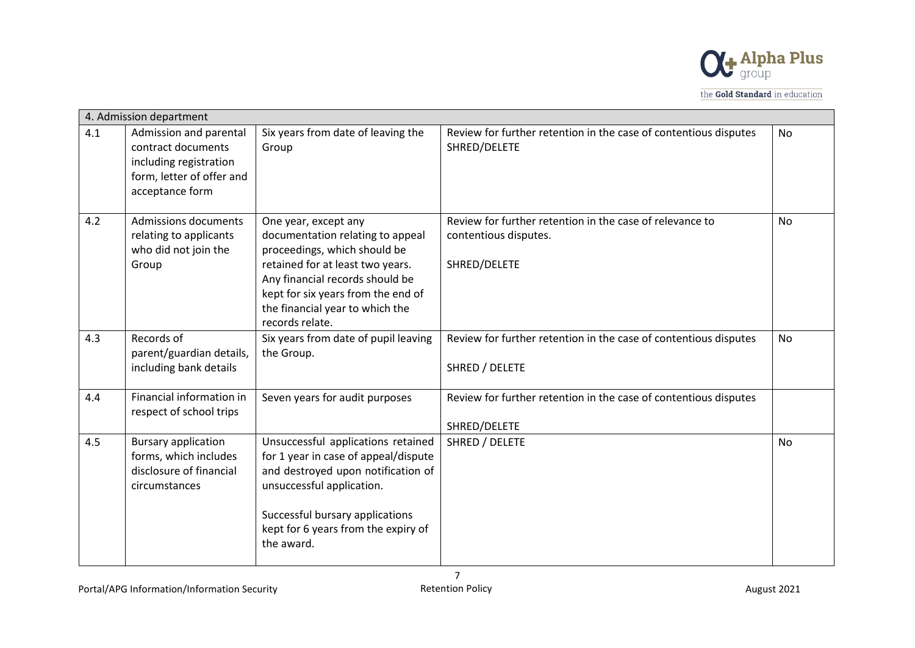

|     | 4. Admission department                                                                                                |                                                                                                                                                                                                                                                             |                                                                                                   |           |
|-----|------------------------------------------------------------------------------------------------------------------------|-------------------------------------------------------------------------------------------------------------------------------------------------------------------------------------------------------------------------------------------------------------|---------------------------------------------------------------------------------------------------|-----------|
| 4.1 | Admission and parental<br>contract documents<br>including registration<br>form, letter of offer and<br>acceptance form | Six years from date of leaving the<br>Group                                                                                                                                                                                                                 | Review for further retention in the case of contentious disputes<br>SHRED/DELETE                  | No        |
| 4.2 | <b>Admissions documents</b><br>relating to applicants<br>who did not join the<br>Group                                 | One year, except any<br>documentation relating to appeal<br>proceedings, which should be<br>retained for at least two years.<br>Any financial records should be<br>kept for six years from the end of<br>the financial year to which the<br>records relate. | Review for further retention in the case of relevance to<br>contentious disputes.<br>SHRED/DELETE | <b>No</b> |
| 4.3 | Records of<br>parent/guardian details,<br>including bank details                                                       | Six years from date of pupil leaving<br>the Group.                                                                                                                                                                                                          | Review for further retention in the case of contentious disputes<br>SHRED / DELETE                | No        |
| 4.4 | Financial information in<br>respect of school trips                                                                    | Seven years for audit purposes                                                                                                                                                                                                                              | Review for further retention in the case of contentious disputes<br>SHRED/DELETE                  |           |
| 4.5 | <b>Bursary application</b><br>forms, which includes<br>disclosure of financial<br>circumstances                        | Unsuccessful applications retained<br>for 1 year in case of appeal/dispute<br>and destroyed upon notification of<br>unsuccessful application.<br>Successful bursary applications<br>kept for 6 years from the expiry of<br>the award.                       | SHRED / DELETE                                                                                    | <b>No</b> |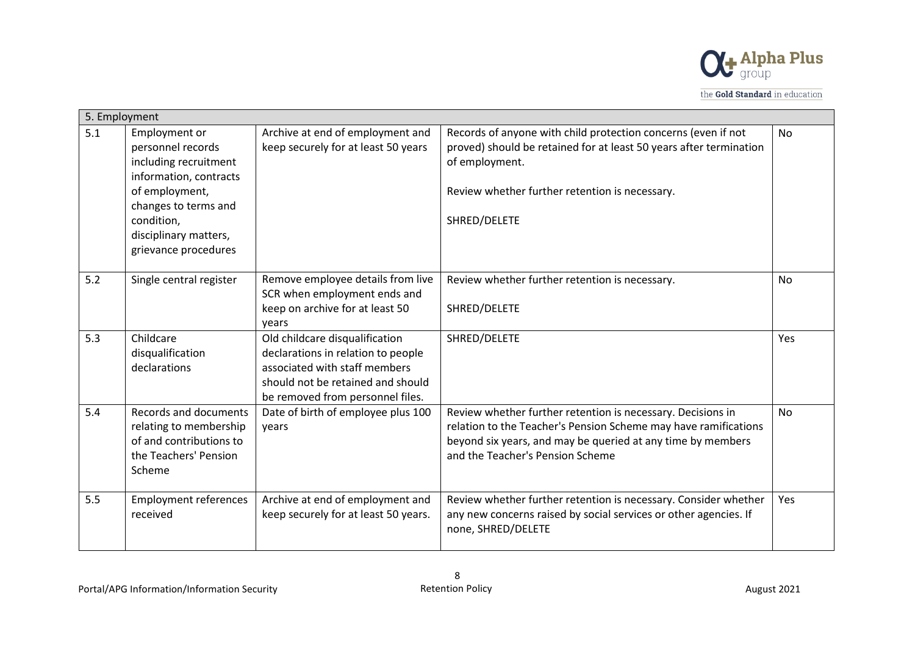

| 5. Employment |                                                                                                                                                                                                |                                                                                                                                                                                |                                                                                                                                                                                                                                   |           |
|---------------|------------------------------------------------------------------------------------------------------------------------------------------------------------------------------------------------|--------------------------------------------------------------------------------------------------------------------------------------------------------------------------------|-----------------------------------------------------------------------------------------------------------------------------------------------------------------------------------------------------------------------------------|-----------|
| 5.1           | Employment or<br>personnel records<br>including recruitment<br>information, contracts<br>of employment,<br>changes to terms and<br>condition,<br>disciplinary matters,<br>grievance procedures | Archive at end of employment and<br>keep securely for at least 50 years                                                                                                        | Records of anyone with child protection concerns (even if not<br>proved) should be retained for at least 50 years after termination<br>of employment.<br>Review whether further retention is necessary.<br>SHRED/DELETE           | <b>No</b> |
| 5.2           | Single central register                                                                                                                                                                        | Remove employee details from live<br>SCR when employment ends and<br>keep on archive for at least 50<br>vears                                                                  | Review whether further retention is necessary.<br>SHRED/DELETE                                                                                                                                                                    | No        |
| 5.3           | Childcare<br>disqualification<br>declarations                                                                                                                                                  | Old childcare disqualification<br>declarations in relation to people<br>associated with staff members<br>should not be retained and should<br>be removed from personnel files. | SHRED/DELETE                                                                                                                                                                                                                      | Yes       |
| 5.4           | <b>Records and documents</b><br>relating to membership<br>of and contributions to<br>the Teachers' Pension<br>Scheme                                                                           | Date of birth of employee plus 100<br>years                                                                                                                                    | Review whether further retention is necessary. Decisions in<br>relation to the Teacher's Pension Scheme may have ramifications<br>beyond six years, and may be queried at any time by members<br>and the Teacher's Pension Scheme | <b>No</b> |
| 5.5           | <b>Employment references</b><br>received                                                                                                                                                       | Archive at end of employment and<br>keep securely for at least 50 years.                                                                                                       | Review whether further retention is necessary. Consider whether<br>any new concerns raised by social services or other agencies. If<br>none, SHRED/DELETE                                                                         | Yes       |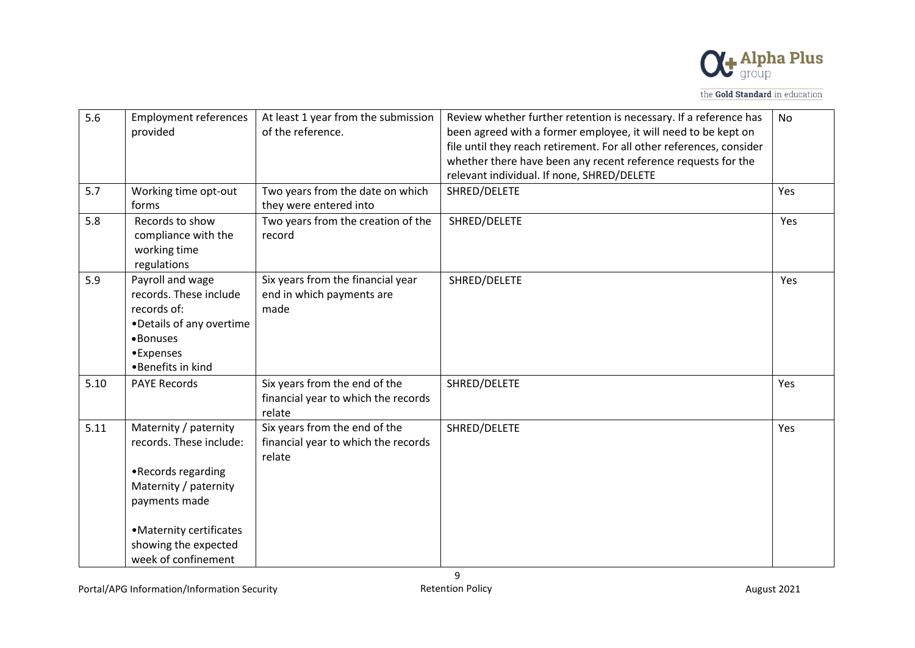

| 5.6  | <b>Employment references</b><br>provided                                                                                                                                                    | At least 1 year from the submission<br>of the reference.                       | Review whether further retention is necessary. If a reference has<br>been agreed with a former employee, it will need to be kept on<br>file until they reach retirement. For all other references, consider<br>whether there have been any recent reference requests for the<br>relevant individual. If none, SHRED/DELETE | <b>No</b> |
|------|---------------------------------------------------------------------------------------------------------------------------------------------------------------------------------------------|--------------------------------------------------------------------------------|----------------------------------------------------------------------------------------------------------------------------------------------------------------------------------------------------------------------------------------------------------------------------------------------------------------------------|-----------|
| 5.7  | Working time opt-out<br>forms                                                                                                                                                               | Two years from the date on which<br>they were entered into                     | SHRED/DELETE                                                                                                                                                                                                                                                                                                               | Yes       |
| 5.8  | Records to show<br>compliance with the<br>working time<br>regulations                                                                                                                       | Two years from the creation of the<br>record                                   | SHRED/DELETE                                                                                                                                                                                                                                                                                                               | Yes       |
| 5.9  | Payroll and wage<br>records. These include<br>records of:<br>•Details of any overtime<br>•Bonuses<br>•Expenses<br>•Benefits in kind                                                         | Six years from the financial year<br>end in which payments are<br>made         | SHRED/DELETE                                                                                                                                                                                                                                                                                                               | Yes       |
| 5.10 | <b>PAYE Records</b>                                                                                                                                                                         | Six years from the end of the<br>financial year to which the records<br>relate | SHRED/DELETE                                                                                                                                                                                                                                                                                                               | Yes       |
| 5.11 | Maternity / paternity<br>records. These include:<br>•Records regarding<br>Maternity / paternity<br>payments made<br>• Maternity certificates<br>showing the expected<br>week of confinement | Six years from the end of the<br>financial year to which the records<br>relate | SHRED/DELETE                                                                                                                                                                                                                                                                                                               | Yes       |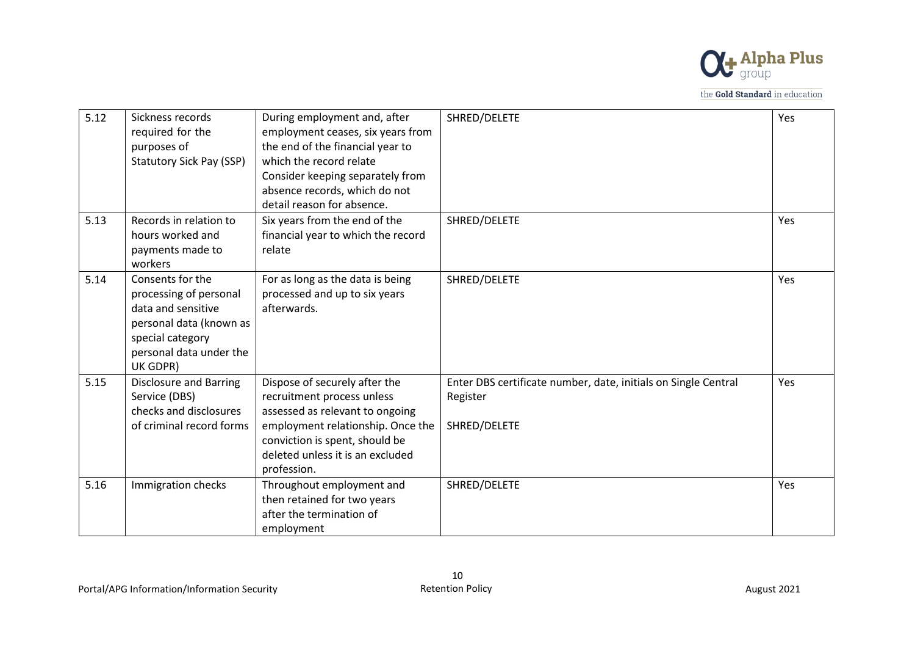

| 5.12 | Sickness records<br>required for the<br>purposes of<br><b>Statutory Sick Pay (SSP)</b>                                                                 | During employment and, after<br>employment ceases, six years from<br>the end of the financial year to<br>which the record relate<br>Consider keeping separately from<br>absence records, which do not<br>detail reason for absence. | SHRED/DELETE                                                                               | Yes |
|------|--------------------------------------------------------------------------------------------------------------------------------------------------------|-------------------------------------------------------------------------------------------------------------------------------------------------------------------------------------------------------------------------------------|--------------------------------------------------------------------------------------------|-----|
| 5.13 | Records in relation to<br>hours worked and<br>payments made to<br>workers                                                                              | Six years from the end of the<br>financial year to which the record<br>relate                                                                                                                                                       | SHRED/DELETE                                                                               | Yes |
| 5.14 | Consents for the<br>processing of personal<br>data and sensitive<br>personal data (known as<br>special category<br>personal data under the<br>UK GDPR) | For as long as the data is being<br>processed and up to six years<br>afterwards.                                                                                                                                                    | SHRED/DELETE                                                                               | Yes |
| 5.15 | <b>Disclosure and Barring</b><br>Service (DBS)<br>checks and disclosures<br>of criminal record forms                                                   | Dispose of securely after the<br>recruitment process unless<br>assessed as relevant to ongoing<br>employment relationship. Once the<br>conviction is spent, should be<br>deleted unless it is an excluded<br>profession.            | Enter DBS certificate number, date, initials on Single Central<br>Register<br>SHRED/DELETE | Yes |
| 5.16 | Immigration checks                                                                                                                                     | Throughout employment and<br>then retained for two years<br>after the termination of<br>employment                                                                                                                                  | SHRED/DELETE                                                                               | Yes |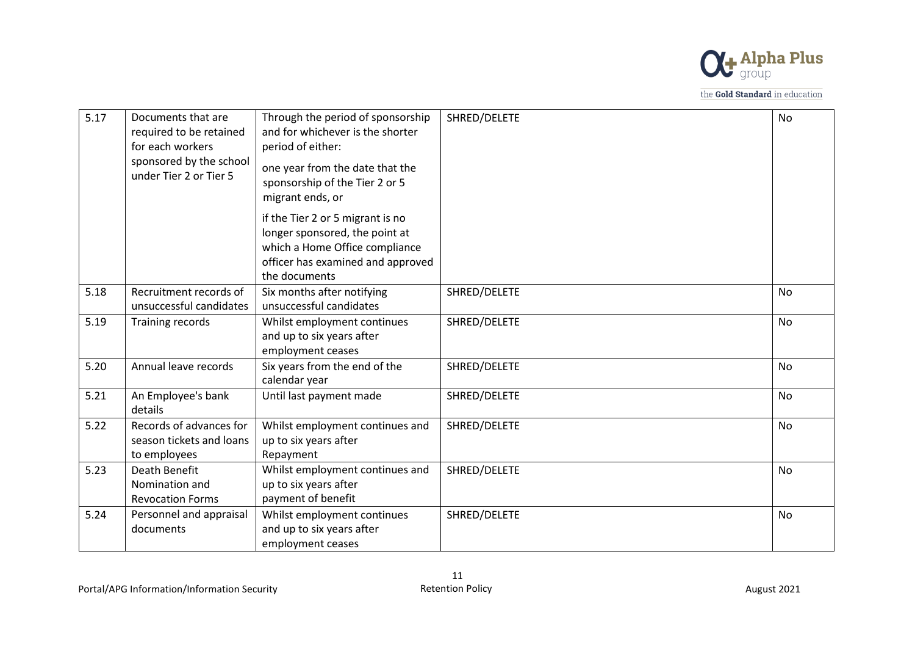

| 5.17 | Documents that are<br>required to be retained<br>for each workers<br>sponsored by the school<br>under Tier 2 or Tier 5 | Through the period of sponsorship<br>and for whichever is the shorter<br>period of either:<br>one year from the date that the<br>sponsorship of the Tier 2 or 5<br>migrant ends, or | SHRED/DELETE | <b>No</b> |
|------|------------------------------------------------------------------------------------------------------------------------|-------------------------------------------------------------------------------------------------------------------------------------------------------------------------------------|--------------|-----------|
|      |                                                                                                                        | if the Tier 2 or 5 migrant is no<br>longer sponsored, the point at<br>which a Home Office compliance<br>officer has examined and approved<br>the documents                          |              |           |
| 5.18 | Recruitment records of<br>unsuccessful candidates                                                                      | Six months after notifying<br>unsuccessful candidates                                                                                                                               | SHRED/DELETE | <b>No</b> |
| 5.19 | Training records                                                                                                       | Whilst employment continues<br>and up to six years after<br>employment ceases                                                                                                       | SHRED/DELETE | No        |
| 5.20 | Annual leave records                                                                                                   | Six years from the end of the<br>calendar year                                                                                                                                      | SHRED/DELETE | <b>No</b> |
| 5.21 | An Employee's bank<br>details                                                                                          | Until last payment made                                                                                                                                                             | SHRED/DELETE | <b>No</b> |
| 5.22 | Records of advances for<br>season tickets and loans<br>to employees                                                    | Whilst employment continues and<br>up to six years after<br>Repayment                                                                                                               | SHRED/DELETE | <b>No</b> |
| 5.23 | Death Benefit<br>Nomination and<br><b>Revocation Forms</b>                                                             | Whilst employment continues and<br>up to six years after<br>payment of benefit                                                                                                      | SHRED/DELETE | <b>No</b> |
| 5.24 | Personnel and appraisal<br>documents                                                                                   | Whilst employment continues<br>and up to six years after<br>employment ceases                                                                                                       | SHRED/DELETE | <b>No</b> |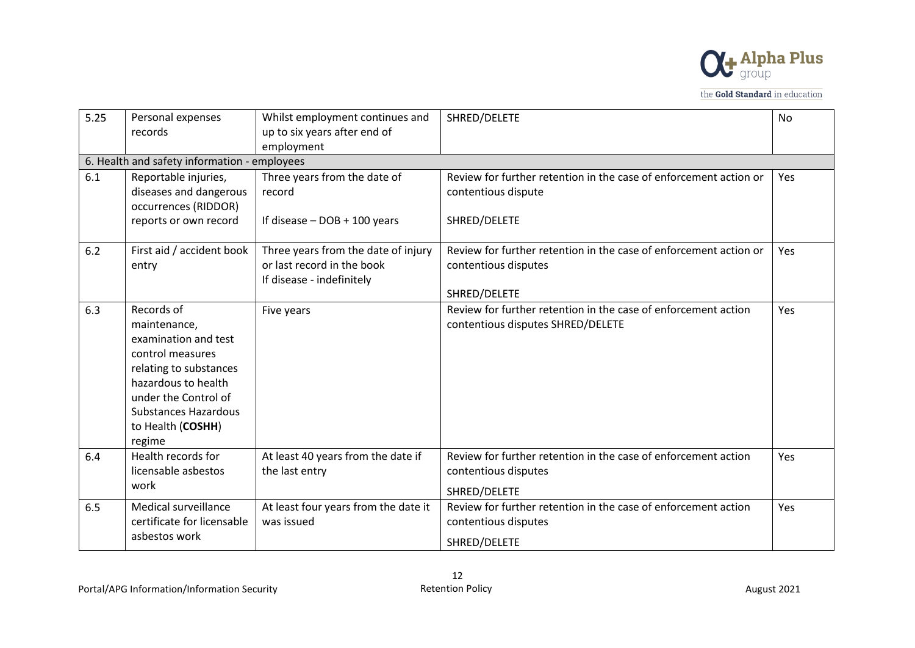

| 5.25 | Personal expenses<br>records                                                                                                                                                                                  | Whilst employment continues and<br>up to six years after end of<br>employment                  | SHRED/DELETE                                                                                              | <b>No</b> |
|------|---------------------------------------------------------------------------------------------------------------------------------------------------------------------------------------------------------------|------------------------------------------------------------------------------------------------|-----------------------------------------------------------------------------------------------------------|-----------|
|      | 6. Health and safety information - employees                                                                                                                                                                  |                                                                                                |                                                                                                           |           |
| 6.1  | Reportable injuries,<br>diseases and dangerous<br>occurrences (RIDDOR)<br>reports or own record                                                                                                               | Three years from the date of<br>record<br>If disease $-$ DOB $+$ 100 years                     | Review for further retention in the case of enforcement action or<br>contentious dispute<br>SHRED/DELETE  | Yes       |
|      |                                                                                                                                                                                                               |                                                                                                |                                                                                                           |           |
| 6.2  | First aid / accident book<br>entry                                                                                                                                                                            | Three years from the date of injury<br>or last record in the book<br>If disease - indefinitely | Review for further retention in the case of enforcement action or<br>contentious disputes<br>SHRED/DELETE | Yes       |
| 6.3  | Records of<br>maintenance,<br>examination and test<br>control measures<br>relating to substances<br>hazardous to health<br>under the Control of<br><b>Substances Hazardous</b><br>to Health (COSHH)<br>regime | Five years                                                                                     | Review for further retention in the case of enforcement action<br>contentious disputes SHRED/DELETE       | Yes       |
| 6.4  | Health records for<br>licensable asbestos<br>work                                                                                                                                                             | At least 40 years from the date if<br>the last entry                                           | Review for further retention in the case of enforcement action<br>contentious disputes<br>SHRED/DELETE    | Yes       |
| 6.5  | Medical surveillance<br>certificate for licensable<br>asbestos work                                                                                                                                           | At least four years from the date it<br>was issued                                             | Review for further retention in the case of enforcement action<br>contentious disputes<br>SHRED/DELETE    | Yes       |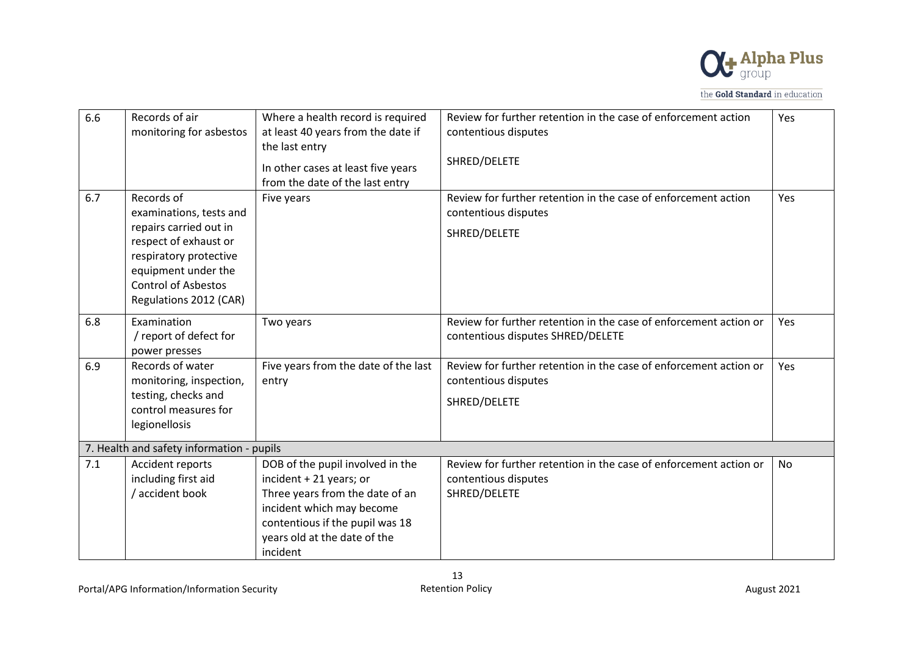

| 6.6 | Records of air                            | Where a health record is required    | Review for further retention in the case of enforcement action    | Yes |
|-----|-------------------------------------------|--------------------------------------|-------------------------------------------------------------------|-----|
|     | monitoring for asbestos                   | at least 40 years from the date if   | contentious disputes                                              |     |
|     |                                           | the last entry                       | SHRED/DELETE                                                      |     |
|     |                                           | In other cases at least five years   |                                                                   |     |
|     |                                           | from the date of the last entry      |                                                                   |     |
| 6.7 | Records of                                | Five years                           | Review for further retention in the case of enforcement action    | Yes |
|     | examinations, tests and                   |                                      | contentious disputes                                              |     |
|     | repairs carried out in                    |                                      | SHRED/DELETE                                                      |     |
|     | respect of exhaust or                     |                                      |                                                                   |     |
|     | respiratory protective                    |                                      |                                                                   |     |
|     | equipment under the                       |                                      |                                                                   |     |
|     | <b>Control of Asbestos</b>                |                                      |                                                                   |     |
|     | Regulations 2012 (CAR)                    |                                      |                                                                   |     |
| 6.8 | Examination                               | Two years                            | Review for further retention in the case of enforcement action or | Yes |
|     | / report of defect for                    |                                      | contentious disputes SHRED/DELETE                                 |     |
|     | power presses                             |                                      |                                                                   |     |
| 6.9 | Records of water                          | Five years from the date of the last | Review for further retention in the case of enforcement action or | Yes |
|     | monitoring, inspection,                   | entry                                | contentious disputes                                              |     |
|     | testing, checks and                       |                                      | SHRED/DELETE                                                      |     |
|     | control measures for                      |                                      |                                                                   |     |
|     | legionellosis                             |                                      |                                                                   |     |
|     | 7. Health and safety information - pupils |                                      |                                                                   |     |
| 7.1 | Accident reports                          | DOB of the pupil involved in the     | Review for further retention in the case of enforcement action or | No  |
|     | including first aid                       | incident + 21 years; or              | contentious disputes                                              |     |
|     | / accident book                           | Three years from the date of an      | SHRED/DELETE                                                      |     |
|     |                                           | incident which may become            |                                                                   |     |
|     |                                           | contentious if the pupil was 18      |                                                                   |     |
|     |                                           | years old at the date of the         |                                                                   |     |
|     |                                           | incident                             |                                                                   |     |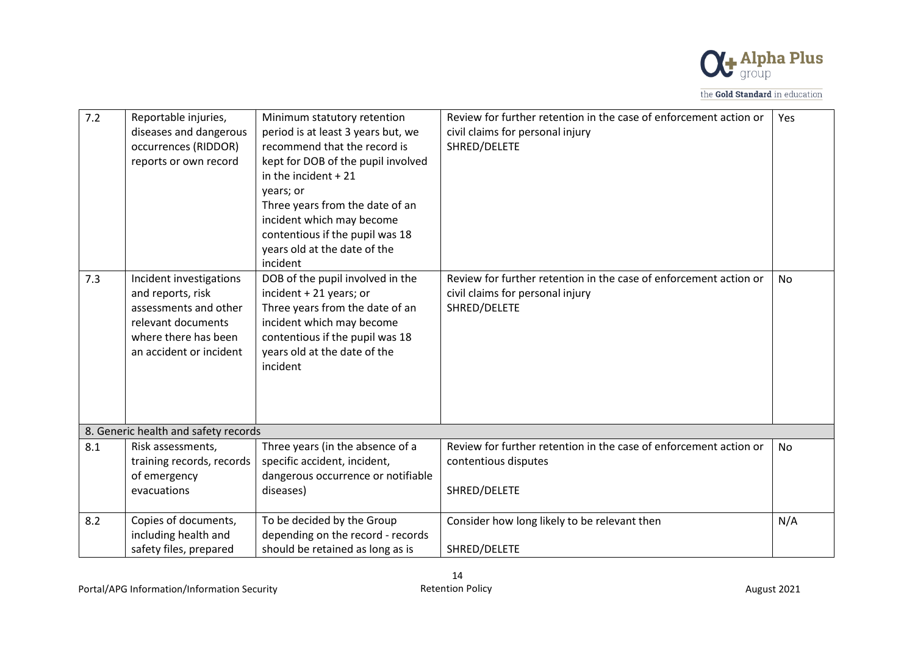

| 7.2 | Reportable injuries,<br>diseases and dangerous<br>occurrences (RIDDOR)<br>reports or own record                                                | Minimum statutory retention<br>period is at least 3 years but, we<br>recommend that the record is<br>kept for DOB of the pupil involved<br>in the incident $+21$<br>years; or<br>Three years from the date of an<br>incident which may become<br>contentious if the pupil was 18<br>years old at the date of the<br>incident | Review for further retention in the case of enforcement action or<br>civil claims for personal injury<br>SHRED/DELETE | Yes       |
|-----|------------------------------------------------------------------------------------------------------------------------------------------------|------------------------------------------------------------------------------------------------------------------------------------------------------------------------------------------------------------------------------------------------------------------------------------------------------------------------------|-----------------------------------------------------------------------------------------------------------------------|-----------|
| 7.3 | Incident investigations<br>and reports, risk<br>assessments and other<br>relevant documents<br>where there has been<br>an accident or incident | DOB of the pupil involved in the<br>incident + 21 years; or<br>Three years from the date of an<br>incident which may become<br>contentious if the pupil was 18<br>years old at the date of the<br>incident                                                                                                                   | Review for further retention in the case of enforcement action or<br>civil claims for personal injury<br>SHRED/DELETE | No        |
|     | 8. Generic health and safety records                                                                                                           |                                                                                                                                                                                                                                                                                                                              |                                                                                                                       |           |
| 8.1 | Risk assessments,<br>training records, records<br>of emergency<br>evacuations                                                                  | Three years (in the absence of a<br>specific accident, incident,<br>dangerous occurrence or notifiable<br>diseases)                                                                                                                                                                                                          | Review for further retention in the case of enforcement action or<br>contentious disputes<br>SHRED/DELETE             | <b>No</b> |
| 8.2 | Copies of documents,<br>including health and<br>safety files, prepared                                                                         | To be decided by the Group<br>depending on the record - records<br>should be retained as long as is                                                                                                                                                                                                                          | Consider how long likely to be relevant then<br>SHRED/DELETE                                                          | N/A       |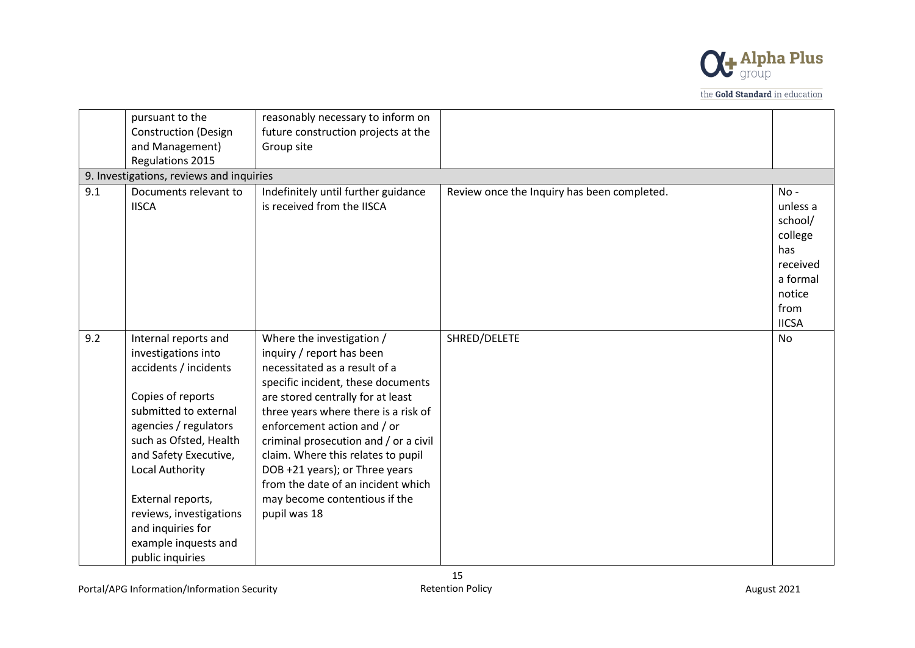

|     | pursuant to the<br><b>Construction (Design</b>                                                                                                                                                                                                                                                                                     | reasonably necessary to inform on<br>future construction projects at the                                                                                                                                                                                                                                                                                                                                                                          |                                             |                                                                                                           |
|-----|------------------------------------------------------------------------------------------------------------------------------------------------------------------------------------------------------------------------------------------------------------------------------------------------------------------------------------|---------------------------------------------------------------------------------------------------------------------------------------------------------------------------------------------------------------------------------------------------------------------------------------------------------------------------------------------------------------------------------------------------------------------------------------------------|---------------------------------------------|-----------------------------------------------------------------------------------------------------------|
|     | and Management)<br>Regulations 2015                                                                                                                                                                                                                                                                                                | Group site                                                                                                                                                                                                                                                                                                                                                                                                                                        |                                             |                                                                                                           |
|     | 9. Investigations, reviews and inquiries                                                                                                                                                                                                                                                                                           |                                                                                                                                                                                                                                                                                                                                                                                                                                                   |                                             |                                                                                                           |
| 9.1 | Documents relevant to<br><b>IISCA</b>                                                                                                                                                                                                                                                                                              | Indefinitely until further guidance<br>is received from the IISCA                                                                                                                                                                                                                                                                                                                                                                                 | Review once the Inquiry has been completed. | $No -$<br>unless a<br>school/<br>college<br>has<br>received<br>a formal<br>notice<br>from<br><b>IICSA</b> |
| 9.2 | Internal reports and<br>investigations into<br>accidents / incidents<br>Copies of reports<br>submitted to external<br>agencies / regulators<br>such as Ofsted, Health<br>and Safety Executive,<br>Local Authority<br>External reports,<br>reviews, investigations<br>and inquiries for<br>example inquests and<br>public inquiries | Where the investigation /<br>inquiry / report has been<br>necessitated as a result of a<br>specific incident, these documents<br>are stored centrally for at least<br>three years where there is a risk of<br>enforcement action and / or<br>criminal prosecution and / or a civil<br>claim. Where this relates to pupil<br>DOB +21 years); or Three years<br>from the date of an incident which<br>may become contentious if the<br>pupil was 18 | SHRED/DELETE                                | No                                                                                                        |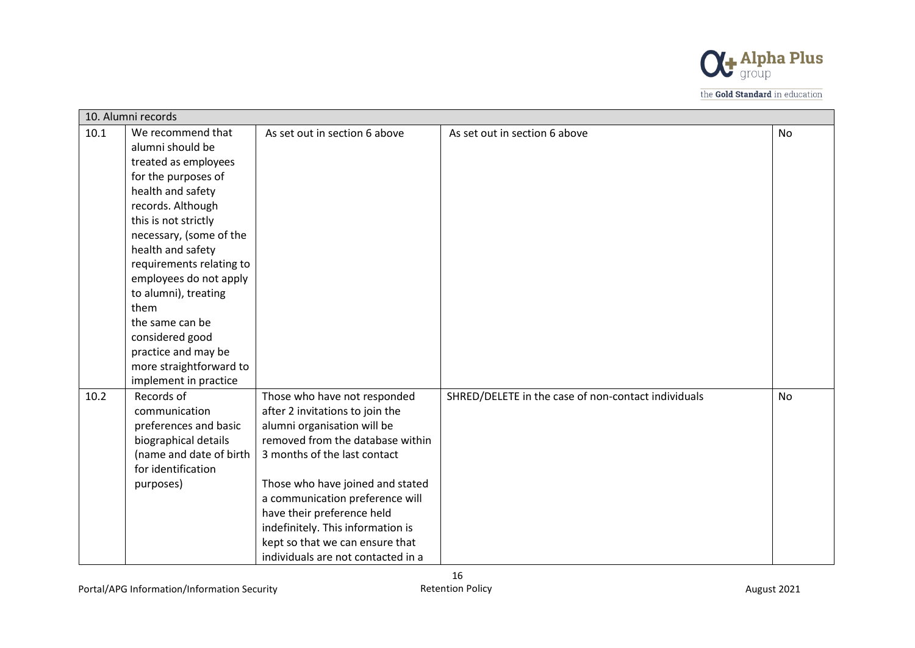

|      | 10. Alumni records       |                                    |                                                     |           |  |
|------|--------------------------|------------------------------------|-----------------------------------------------------|-----------|--|
| 10.1 | We recommend that        | As set out in section 6 above      | As set out in section 6 above                       | <b>No</b> |  |
|      | alumni should be         |                                    |                                                     |           |  |
|      | treated as employees     |                                    |                                                     |           |  |
|      | for the purposes of      |                                    |                                                     |           |  |
|      | health and safety        |                                    |                                                     |           |  |
|      | records. Although        |                                    |                                                     |           |  |
|      | this is not strictly     |                                    |                                                     |           |  |
|      | necessary, (some of the  |                                    |                                                     |           |  |
|      | health and safety        |                                    |                                                     |           |  |
|      | requirements relating to |                                    |                                                     |           |  |
|      | employees do not apply   |                                    |                                                     |           |  |
|      | to alumni), treating     |                                    |                                                     |           |  |
|      | them                     |                                    |                                                     |           |  |
|      | the same can be          |                                    |                                                     |           |  |
|      | considered good          |                                    |                                                     |           |  |
|      | practice and may be      |                                    |                                                     |           |  |
|      | more straightforward to  |                                    |                                                     |           |  |
|      | implement in practice    |                                    |                                                     |           |  |
| 10.2 | Records of               | Those who have not responded       | SHRED/DELETE in the case of non-contact individuals | No        |  |
|      | communication            | after 2 invitations to join the    |                                                     |           |  |
|      | preferences and basic    | alumni organisation will be        |                                                     |           |  |
|      | biographical details     | removed from the database within   |                                                     |           |  |
|      | (name and date of birth  | 3 months of the last contact       |                                                     |           |  |
|      | for identification       |                                    |                                                     |           |  |
|      | purposes)                | Those who have joined and stated   |                                                     |           |  |
|      |                          | a communication preference will    |                                                     |           |  |
|      |                          | have their preference held         |                                                     |           |  |
|      |                          | indefinitely. This information is  |                                                     |           |  |
|      |                          | kept so that we can ensure that    |                                                     |           |  |
|      |                          | individuals are not contacted in a |                                                     |           |  |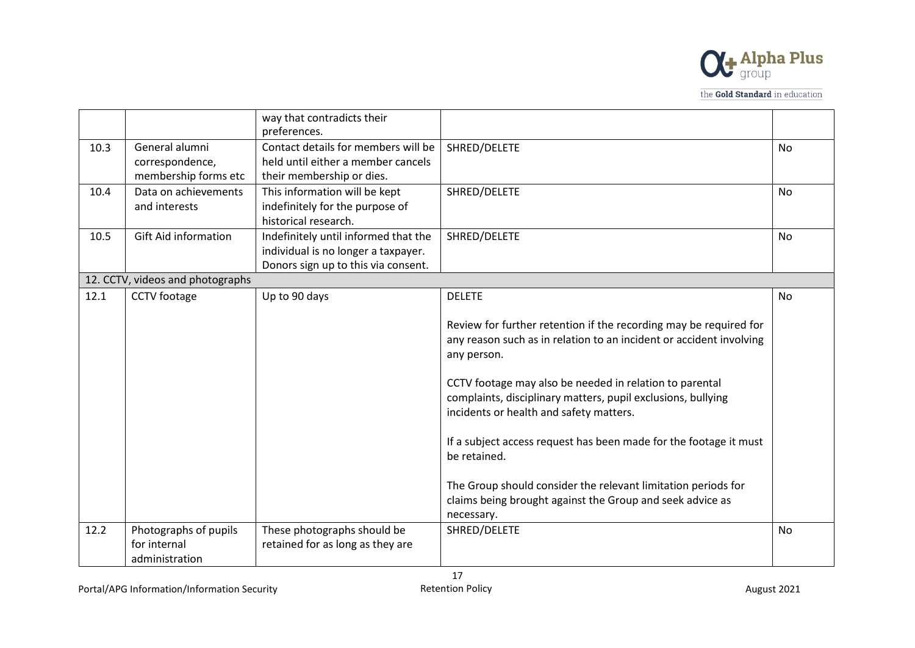

|      |                                                           | way that contradicts their<br>preferences.                                                                         |                                                                                                                                                                    |           |
|------|-----------------------------------------------------------|--------------------------------------------------------------------------------------------------------------------|--------------------------------------------------------------------------------------------------------------------------------------------------------------------|-----------|
| 10.3 | General alumni<br>correspondence,<br>membership forms etc | Contact details for members will be<br>held until either a member cancels<br>their membership or dies.             | SHRED/DELETE                                                                                                                                                       | No        |
| 10.4 | Data on achievements<br>and interests                     | This information will be kept<br>indefinitely for the purpose of<br>historical research.                           | SHRED/DELETE                                                                                                                                                       | <b>No</b> |
| 10.5 | <b>Gift Aid information</b>                               | Indefinitely until informed that the<br>individual is no longer a taxpayer.<br>Donors sign up to this via consent. | SHRED/DELETE                                                                                                                                                       | No        |
|      | 12. CCTV, videos and photographs                          |                                                                                                                    |                                                                                                                                                                    |           |
| 12.1 | CCTV footage                                              | Up to 90 days                                                                                                      | <b>DELETE</b><br>Review for further retention if the recording may be required for                                                                                 | <b>No</b> |
|      |                                                           |                                                                                                                    | any reason such as in relation to an incident or accident involving<br>any person.                                                                                 |           |
|      |                                                           |                                                                                                                    | CCTV footage may also be needed in relation to parental<br>complaints, disciplinary matters, pupil exclusions, bullying<br>incidents or health and safety matters. |           |
|      |                                                           |                                                                                                                    | If a subject access request has been made for the footage it must<br>be retained.                                                                                  |           |
|      |                                                           |                                                                                                                    | The Group should consider the relevant limitation periods for<br>claims being brought against the Group and seek advice as                                         |           |
|      |                                                           |                                                                                                                    | necessary.                                                                                                                                                         |           |
| 12.2 | Photographs of pupils<br>for internal<br>administration   | These photographs should be<br>retained for as long as they are                                                    | SHRED/DELETE                                                                                                                                                       | <b>No</b> |